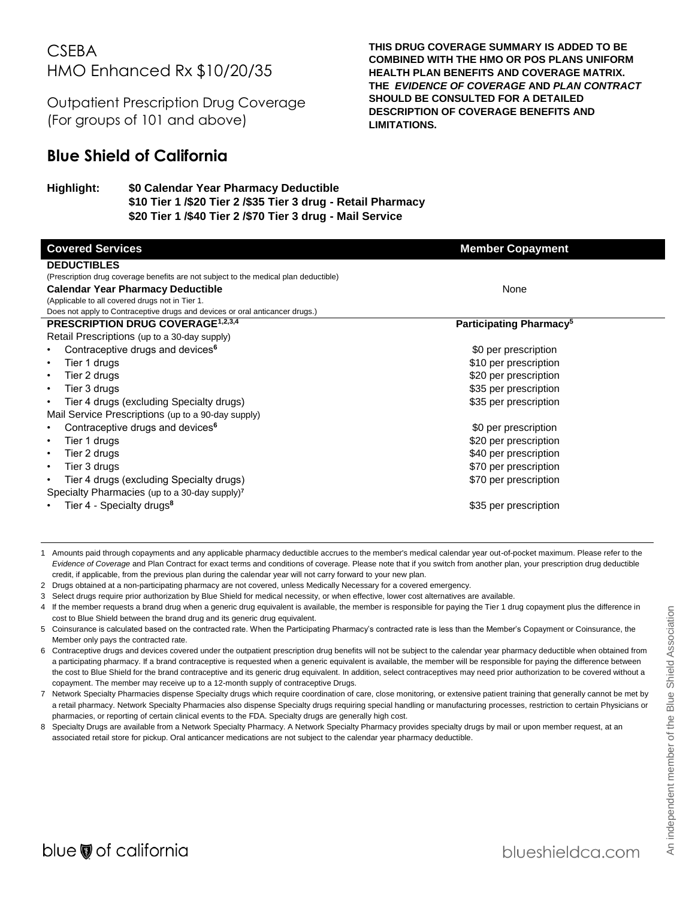# **CSEBA** HMO Enhanced Rx \$10/20/35

Outpatient Prescription Drug Coverage (For groups of 101 and above)

# **Blue Shield of California**

#### **Highlight: \$0 Calendar Year Pharmacy Deductible \$10 Tier 1 /\$20 Tier 2 /\$35 Tier 3 drug - Retail Pharmacy \$20 Tier 1 /\$40 Tier 2 /\$70 Tier 3 drug - Mail Service**

**Covered Services Member Copayment Member Copayment DEDUCTIBLES** (Prescription drug coverage benefits are not subject to the medical plan deductible) **Calendar Year Pharmacy Deductible** (Applicable to all covered drugs not in Tier 1. Does not apply to Contraceptive drugs and devices or oral anticancer drugs.) None **PRESCRIPTION DRUG COVERAGE**<sup>1,2,3,4</sup> **Participating Pharmacy<sup>5</sup> Participating Pharmacy**<sup>5</sup> Retail Prescriptions (up to a 30-day supply) **Contraceptive drugs and devices<sup>6</sup> by a set of the set of the set of the set of the set of the set of the set of the set of the set of the set of the set of the set of the set of the set of the set of the set of the set** Fier 1 drugs **that is a struck of the struck of the struck of the struck of the struck of the struck of the struck of the struck of the struck of the struck of the struck of the struck of the struck of the struck of the st** Fier 2 drugs **the contract of the contract of the contract of the contract of the contract of the contract of the contract of the contract of the contract of the contract of the contract of the contract of the contract of** Fier 3 drugs **the state of the state of the state of the state of the state of the state of the state of the state of the state of the state of the state of the state of the state of the state of the state of the state of** Fier 4 drugs (excluding Specialty drugs)  $$35$  per prescription Mail Service Prescriptions (up to a 90-day supply) • Contraceptive drugs and devices<sup>6</sup> **by a set of the set of the set of the set of the set of the set of the set of the set of the set of the set of the set of the set of the set of the set of the set of the set of the set** Fier 1 drugs **All 20 per prescription Figure 320 per prescription** Fier 2 drugs **the contract of the contract of the contract of the contract of the contract of the contract of the contract of the contract of the contract of the contract of the contract of the contract of the contract of** Fier 3 drugs that the state of the state of the state of the state of the state of the state of the state of the state of the state of the state of the state of the state of the state of the state of the state of the state Fier 4 drugs (excluding Specialty drugs)  $$70$  per prescription Specialty Pharmacies (up to a 30-day supply)**<sup>7</sup> Figure 1 - Specialty drugs<sup>8</sup>**  $\sim$  855 per prescription

**THIS DRUG COVERAGE SUMMARY IS ADDED TO BE COMBINED WITH THE HMO OR POS PLANS UNIFORM HEALTH PLAN BENEFITS AND COVERAGE MATRIX. THE** *EVIDENCE OF COVERAGE* **AND** *PLAN CONTRACT*

**SHOULD BE CONSULTED FOR A DETAILED DESCRIPTION OF COVERAGE BENEFITS AND** 

**LIMITATIONS.**

1 Amounts paid through copayments and any applicable pharmacy deductible accrues to the member's medical calendar year out-of-pocket maximum. Please refer to the *Evidence of Coverage* and Plan Contract for exact terms and conditions of coverage. Please note that if you switch from another plan, your prescription drug deductible credit, if applicable, from the previous plan during the calendar year will not carry forward to your new plan.

2 Drugs obtained at a non-participating pharmacy are not covered, unless Medically Necessary for a covered emergency.

- 3 Select drugs require prior authorization by Blue Shield for medical necessity, or when effective, lower cost alternatives are available.
- 4 If the member requests a brand drug when a generic drug equivalent is available, the member is responsible for paying the Tier 1 drug copayment plus the difference in cost to Blue Shield between the brand drug and its generic drug equivalent.
- 5 Coinsurance is calculated based on the contracted rate. When the Participating Pharmacy's contracted rate is less than the Member's Copayment or Coinsurance, the Member only pays the contracted rate.
- 6 Contraceptive drugs and devices covered under the outpatient prescription drug benefits will not be subject to the calendar year pharmacy deductible when obtained from a participating pharmacy. If a brand contraceptive is requested when a generic equivalent is available, the member will be responsible for paying the difference between the cost to Blue Shield for the brand contraceptive and its generic drug equivalent. In addition, select contraceptives may need prior authorization to be covered without a copayment. The member may receive up to a 12-month supply of contraceptive Drugs.
- 7 Network Specialty Pharmacies dispense Specialty drugs which require coordination of care, close monitoring, or extensive patient training that generally cannot be met by a retail pharmacy. Network Specialty Pharmacies also dispense Specialty drugs requiring special handling or manufacturing processes, restriction to certain Physicians or pharmacies, or reporting of certain clinical events to the FDA. Specialty drugs are generally high cost.
- 8 Specialty Drugs are available from a Network Specialty Pharmacy. A Network Specialty Pharmacy provides specialty drugs by mail or upon member request, at an associated retail store for pickup. Oral anticancer medications are not subject to the calendar year pharmacy deductible.

l